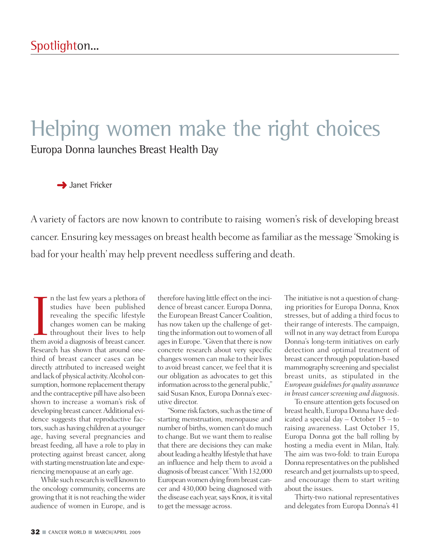## Helping women make the right choices Europa Donna launches Breast Health Day

**→** Janet Fricker

A variety of factors are now known to contribute to raising women's risk of developing breast cancer. Ensuring key messages on breast health become asfamiliar asthe message 'Smoking is bad for your health'may help prevent needless suffering and death.

In the last few years a plethora of studies have been published revealing the specific lifestyle changes women can be making throughout their lives to help them avoid a diagnosis of breast cancer. n the last few years a plethora of studies have been published revealing the specific lifestyle changes women can be making throughout their lives to help Research has shown that around onethird of breast cancer cases can be directly attributed to increased weight and lack of physical activity.Alcohol consumption, hormone replacement therapy and the contraceptive pill have also been shown to increase a woman's risk of developing breast cancer.Additional evidence suggests that reproductive factors, such as having children at a younger age, having several pregnancies and breast feeding, all have a role to play in protecting against breast cancer, along with starting menstruation late and experiencing menopause at an early age.

While such research iswell known to the oncology community, concerns are growing that it is not reaching the wider audience of women in Europe, and is

therefore having little effect on the incidence of breast cancer. Europa Donna, the European Breast Cancer Coalition, has now taken up the challenge of getting the information out towomen of all ages in Europe. "Given that there is now concrete research about very specific changes women can make to their lives to avoid breast cancer, we feel that it is our obligation as advocates to get this information across to the general public," said Susan Knox, Europa Donna's executive director.

"Some risk factors, such as the time of starting menstruation, menopause and number of births, women can't do much to change. But we want them to realise that there are decisions they can make about leading a healthy lifestyle that have an influence and help them to avoid a diagnosis of breast cancer." With 132,000 Europeanwomen dying frombreast cancer and 430,000 being diagnosed with the disease each year, says Knox, it is vital to get the message across.

The initiative is not a question of changing priorities for Europa Donna, Knox stresses, but of adding a third focus to their range of interests. The campaign, will not in any way detract from Europa Donna's long-term initiatives on early detection and optimal treatment of breast cancer through population-based mammography screening and specialist breast units, as stipulated in the *European guidelines for quality assurance in breast cancer screening and diagnosis*.

To ensure attention gets focused on breast health, Europa Donna have dedicated a special day – October 15 – to raising awareness. Last October 15, Europa Donna got the ball rolling by hosting a media event in Milan, Italy. The aim was two-fold: to train Europa Donna representatives on the published research and get journalists up to speed, and encourage them to start writing about the issues.

Thirty-two national representatives and delegates from Europa Donna's 41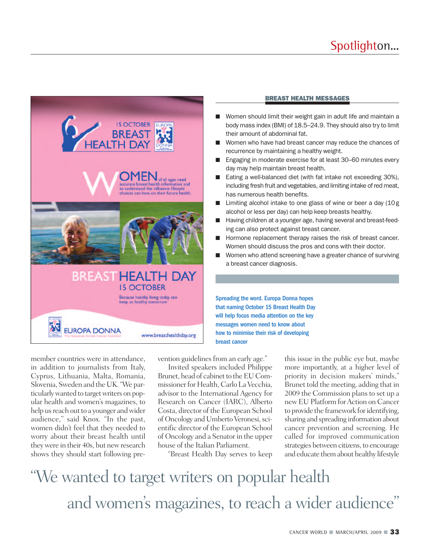

## **BREAST HEALTH MESSAGES**

- **■** Women should limit their weight gain in adult life and maintain a body mass index (BMI) of 18.5–24.9. They should also try to limit their amount of abdominal fat.
- Women who have had breast cancer may reduce the chances of recurrence by maintaining a healthy weight.
- Engaging in moderate exercise for at least 30–60 minutes every day may help maintain breast health.
- Eating a well-balanced diet (with fat intake not exceeding 30%), including fresh fruit and vegetables, and limiting intake of red meat, has numerous health benefits.
- Limiting alcohol intake to one glass of wine or beer a day (10g alcohol or less per day) can help keep breasts healthy.
- Having children at a younger age, having several and breast-feeding can also protect against breast cancer.
- Hormone replacement therapy raises the risk of breast cancer. Women should discuss the pros and cons with their doctor.
- **■** Women who attend screening have a greater chance of surviving a breast cancer diagnosis.

Spreading the word. Europa Donna hopes that naming October 15 Breast Health Day will help focus media attention on the key messages women need to know about how to minimise their risk of developing breast cancer

member countries were in attendance, in addition to journalists from Italy, Cyprus, Lithuania, Malta, Romania, Slovenia, Sweden and the UK."We particularlywanted to targetwriters on popular health and women's magazines, to help us reach out to a younger and wider audience," said Knox. "In the past, women didn't feel that they needed to worry about their breast health until theywere in their 40s, but newresearch shows they should start following prevention guidelines from an early age."

Invited speakers included Philippe Brunet, head of cabinet to the EU Commissioner for Health, Carlo La Vecchia, advisor to the International Agency for Research on Cancer (IARC), Alberto Costa, director of the European School of Oncology and Umberto Veronesi, scientific director of the European School of Oncology and a Senator in the upper house of the Italian Parliament.

"Breast Health Day serves to keep

this issue in the public eye but, maybe more importantly, at a higher level of priority in decision makers' minds," Brunet told the meeting, adding that in 2009 the Commission plans to set up a new EU Platform for Action on Cancer to provide the framework foridentifying, sharing and spreading information about cancer prevention and screening. He called for improved communication strategies between citizens, to encourage and educate themabout healthy lifestyle

"We wanted to target writers on popular health and women's magazines, to reach a wider audience" '